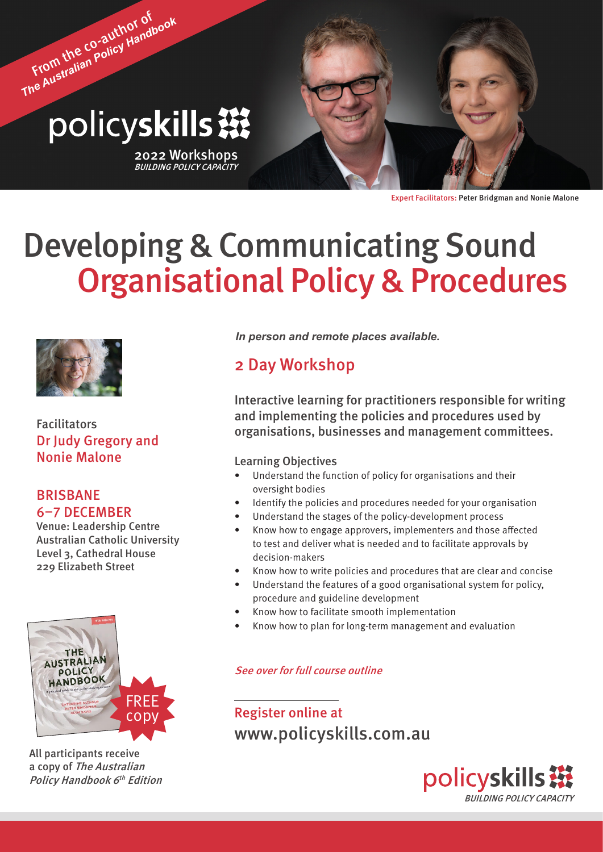# From the co-author of *The Australian Policy Handbook* policyskills ※

2022 Workshops<br>*BUILDING POLICY CAPACITY* 



# Developing & Communicating Sound Organisational Policy & Procedures



Facilitators Dr Judy Gregory and Nonie Malone

#### BRISBANE 6–7 DECEMBER

Venue: Leadership Centre Australian Catholic University Level 3, Cathedral House 229 Elizabeth Street



All participants receive a copy of The Australian Policy Handbook 6<sup>th</sup> Edition *In person and remote places available.*

### 2 Day Workshop

Interactive learning for practitioners responsible for writing and implementing the policies and procedures used by organisations, businesses and management committees.

#### Learning Objectives

- Understand the function of policy for organisations and their oversight bodies
- Identify the policies and procedures needed for your organisation
- Understand the stages of the policy-development process
- Know how to engage approvers, implementers and those affected to test and deliver what is needed and to facilitate approvals by decision-makers
- Know how to write policies and procedures that are clear and concise
- Understand the features of a good organisational system for policy, procedure and guideline development
- Know how to facilitate smooth implementation
- Know how to plan for long-term management and evaluation

#### See over for full course outline

Register online at <www.policyskills.com.au>